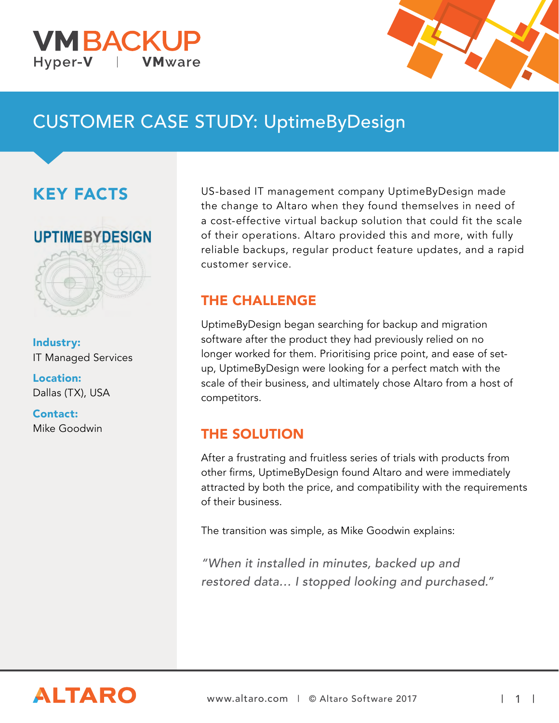



# CUSTOMER CASE STUDY: UptimeByDesign

## KEY FACTS





Industry: IT Managed Services

Location: Dallas (TX), USA

Contact: Mike Goodwin

US-based IT management company UptimeByDesign made the change to Altaro when they found themselves in need of a cost-effective virtual backup solution that could fit the scale of their operations. Altaro provided this and more, with fully reliable backups, regular product feature updates, and a rapid customer service.

#### THE CHALLENGE

UptimeByDesign began searching for backup and migration software after the product they had previously relied on no longer worked for them. Prioritising price point, and ease of setup, UptimeByDesign were looking for a perfect match with the scale of their business, and ultimately chose Altaro from a host of competitors.

#### THE SOLUTION

After a frustrating and fruitless series of trials with products from other firms, UptimeByDesign found Altaro and were immediately attracted by both the price, and compatibility with the requirements of their business.

The transition was simple, as Mike Goodwin explains:

"When it installed in minutes, backed up and restored data… I stopped looking and purchased."